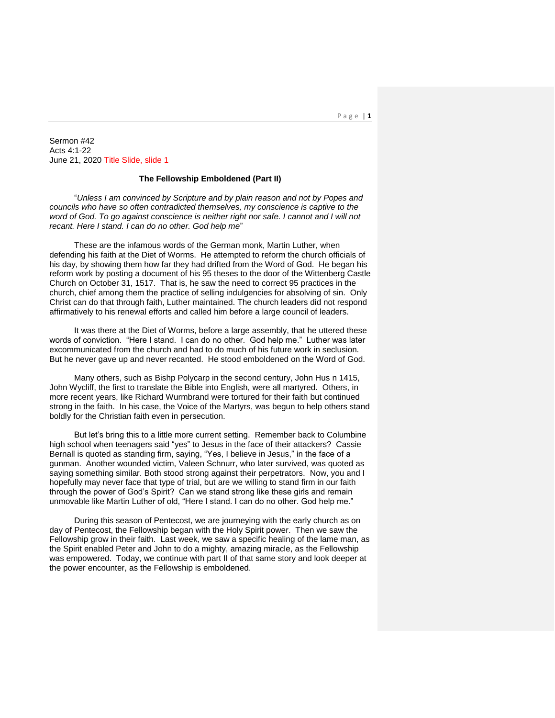P a g e | **1**

Sermon #42 Acts 4:1-22 June 21, 2020 Title Slide, slide 1

## **The Fellowship Emboldened (Part II)**

"*Unless I am convinced by Scripture and by plain reason and not by Popes and councils who have so often contradicted themselves, my conscience is captive to the word of God. To go against conscience is neither right nor safe. I cannot and I will not recant. Here I stand. I can do no other. God help me*"

These are the infamous words of the German monk, Martin Luther, when defending his faith at the Diet of Worms. He attempted to reform the church officials of his day, by showing them how far they had drifted from the Word of God. He began his reform work by posting a document of his 95 theses to the door of the Wittenberg Castle Church on October 31, 1517. That is, he saw the need to correct 95 practices in the church, chief among them the practice of selling indulgencies for absolving of sin. Only Christ can do that through faith, Luther maintained. The church leaders did not respond affirmatively to his renewal efforts and called him before a large council of leaders.

It was there at the Diet of Worms, before a large assembly, that he uttered these words of conviction. "Here I stand. I can do no other. God help me." Luther was later excommunicated from the church and had to do much of his future work in seclusion. But he never gave up and never recanted. He stood emboldened on the Word of God.

Many others, such as Bishp Polycarp in the second century, John Hus n 1415, John Wycliff, the first to translate the Bible into English, were all martyred. Others, in more recent years, like Richard Wurmbrand were tortured for their faith but continued strong in the faith. In his case, the Voice of the Martyrs, was begun to help others stand boldly for the Christian faith even in persecution.

But let's bring this to a little more current setting. Remember back to Columbine high school when teenagers said "yes" to Jesus in the face of their attackers? Cassie Bernall is quoted as standing firm, saying, "Yes, I believe in Jesus," in the face of a gunman. Another wounded victim, Valeen Schnurr, who later survived, was quoted as saying something similar. Both stood strong against their perpetrators. Now, you and I hopefully may never face that type of trial, but are we willing to stand firm in our faith through the power of God's Spirit? Can we stand strong like these girls and remain unmovable like Martin Luther of old, "Here I stand. I can do no other. God help me."

During this season of Pentecost, we are journeying with the early church as on day of Pentecost, the Fellowship began with the Holy Spirit power. Then we saw the Fellowship grow in their faith. Last week, we saw a specific healing of the lame man, as the Spirit enabled Peter and John to do a mighty, amazing miracle, as the Fellowship was empowered. Today, we continue with part II of that same story and look deeper at the power encounter, as the Fellowship is emboldened.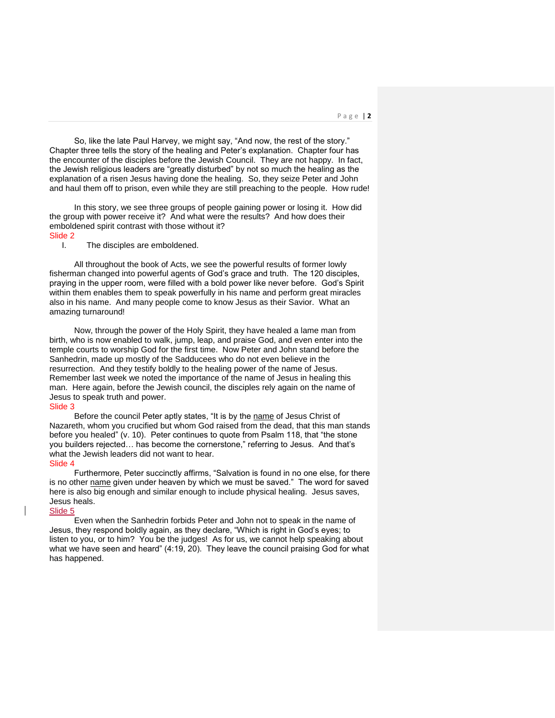So, like the late Paul Harvey, we might say, "And now, the rest of the story." Chapter three tells the story of the healing and Peter's explanation. Chapter four has the encounter of the disciples before the Jewish Council. They are not happy. In fact, the Jewish religious leaders are "greatly disturbed" by not so much the healing as the explanation of a risen Jesus having done the healing. So, they seize Peter and John and haul them off to prison, even while they are still preaching to the people. How rude!

In this story, we see three groups of people gaining power or losing it. How did the group with power receive it? And what were the results? And how does their emboldened spirit contrast with those without it? Slide 2

#### I. The disciples are emboldened.

All throughout the book of Acts, we see the powerful results of former lowly fisherman changed into powerful agents of God's grace and truth. The 120 disciples, praying in the upper room, were filled with a bold power like never before. God's Spirit within them enables them to speak powerfully in his name and perform great miracles also in his name. And many people come to know Jesus as their Savior. What an amazing turnaround!

Now, through the power of the Holy Spirit, they have healed a lame man from birth, who is now enabled to walk, jump, leap, and praise God, and even enter into the temple courts to worship God for the first time. Now Peter and John stand before the Sanhedrin, made up mostly of the Sadducees who do not even believe in the resurrection. And they testify boldly to the healing power of the name of Jesus. Remember last week we noted the importance of the name of Jesus in healing this man. Here again, before the Jewish council, the disciples rely again on the name of Jesus to speak truth and power.

### Slide 3

Before the council Peter aptly states, "It is by the name of Jesus Christ of Nazareth, whom you crucified but whom God raised from the dead, that this man stands before you healed" (v. 10). Peter continues to quote from Psalm 118, that "the stone you builders rejected… has become the cornerstone," referring to Jesus. And that's what the Jewish leaders did not want to hear.

### Slide 4

Furthermore, Peter succinctly affirms, "Salvation is found in no one else, for there is no other name given under heaven by which we must be saved." The word for saved here is also big enough and similar enough to include physical healing. Jesus saves, Jesus heals.

# Slide 5

Even when the Sanhedrin forbids Peter and John not to speak in the name of Jesus, they respond boldly again, as they declare, "Which is right in God's eyes; to listen to you, or to him? You be the judges! As for us, we cannot help speaking about what we have seen and heard" (4:19, 20). They leave the council praising God for what has happened.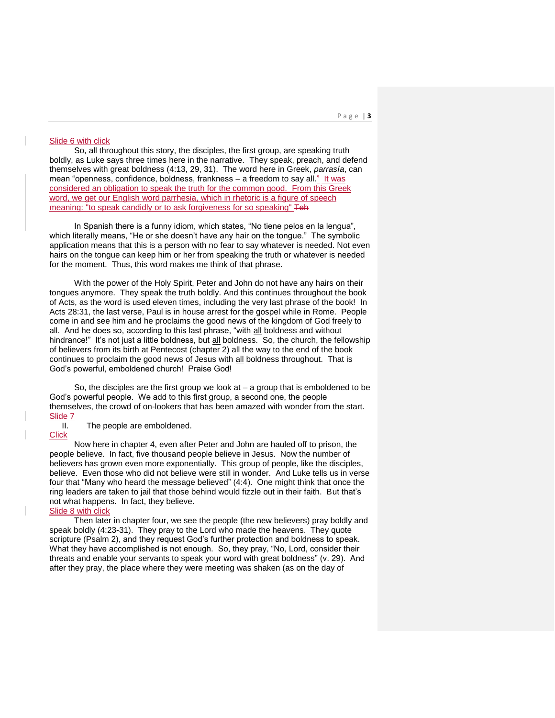#### P a g e | **3**

### Slide 6 with click

So, all throughout this story, the disciples, the first group, are speaking truth boldly, as Luke says three times here in the narrative. They speak, preach, and defend themselves with great boldness (4:13, 29, 31). The word here in Greek, *parrasía*, can mean "openness, confidence, boldness, frankness – a freedom to say all." It was considered an obligation to speak the truth for the common good. From this Greek word, we get our English word parrhesia, which in rhetoric is a figure of speech meaning: "to speak candidly or to ask forgiveness for so speaking" Teh

In Spanish there is a funny idiom, which states, "No tiene pelos en la lengua", which literally means, "He or she doesn't have any hair on the tongue." The symbolic application means that this is a person with no fear to say whatever is needed. Not even hairs on the tongue can keep him or her from speaking the truth or whatever is needed for the moment. Thus, this word makes me think of that phrase.

With the power of the Holy Spirit, Peter and John do not have any hairs on their tongues anymore. They speak the truth boldly. And this continues throughout the book of Acts, as the word is used eleven times, including the very last phrase of the book! In Acts 28:31, the last verse, Paul is in house arrest for the gospel while in Rome. People come in and see him and he proclaims the good news of the kingdom of God freely to all. And he does so, according to this last phrase, "with all boldness and without hindrance!" It's not just a little boldness, but all boldness. So, the church, the fellowship of believers from its birth at Pentecost (chapter 2) all the way to the end of the book continues to proclaim the good news of Jesus with all boldness throughout. That is God's powerful, emboldened church! Praise God!

So, the disciples are the first group we look at  $-$  a group that is emboldened to be God's powerful people. We add to this first group, a second one, the people themselves, the crowd of on-lookers that has been amazed with wonder from the start. Slide 7

II. The people are emboldened.

## **Click**

Now here in chapter 4, even after Peter and John are hauled off to prison, the people believe. In fact, five thousand people believe in Jesus. Now the number of believers has grown even more exponentially. This group of people, like the disciples, believe. Even those who did not believe were still in wonder. And Luke tells us in verse four that "Many who heard the message believed" (4:4). One might think that once the ring leaders are taken to jail that those behind would fizzle out in their faith. But that's not what happens. In fact, they believe.

# Slide 8 with click

Then later in chapter four, we see the people (the new believers) pray boldly and speak boldly (4:23-31). They pray to the Lord who made the heavens. They quote scripture (Psalm 2), and they request God's further protection and boldness to speak. What they have accomplished is not enough. So, they pray, "No, Lord, consider their threats and enable your servants to speak your word with great boldness" (v. 29). And after they pray, the place where they were meeting was shaken (as on the day of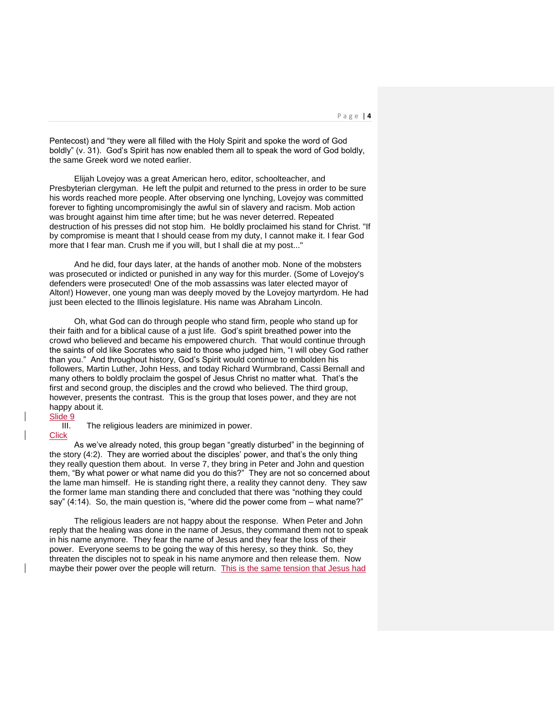Pentecost) and "they were all filled with the Holy Spirit and spoke the word of God boldly" (v. 31). God's Spirit has now enabled them all to speak the word of God boldly, the same Greek word we noted earlier.

Elijah Lovejoy was a great American hero, editor, schoolteacher, and Presbyterian clergyman. He left the pulpit and returned to the press in order to be sure his words reached more people. After observing one lynching, Lovejoy was committed forever to fighting uncompromisingly the awful sin of slavery and racism. Mob action was brought against him time after time; but he was never deterred. Repeated destruction of his presses did not stop him. He boldly proclaimed his stand for Christ. "If by compromise is meant that I should cease from my duty, I cannot make it. I fear God more that I fear man. Crush me if you will, but I shall die at my post..."

And he did, four days later, at the hands of another mob. None of the mobsters was prosecuted or indicted or punished in any way for this murder. (Some of Lovejoy's defenders were prosecuted! One of the mob assassins was later elected mayor of Alton!) However, one young man was deeply moved by the Lovejoy martyrdom. He had just been elected to the Illinois legislature. His name was Abraham Lincoln.

Oh, what God can do through people who stand firm, people who stand up for their faith and for a biblical cause of a just life. God's spirit breathed power into the crowd who believed and became his empowered church. That would continue through the saints of old like Socrates who said to those who judged him, "I will obey God rather than you." And throughout history, God's Spirit would continue to embolden his followers, Martin Luther, John Hess, and today Richard Wurmbrand, Cassi Bernall and many others to boldly proclaim the gospel of Jesus Christ no matter what. That's the first and second group, the disciples and the crowd who believed. The third group, however, presents the contrast. This is the group that loses power, and they are not happy about it.

#### Slide 9

III. The religious leaders are minimized in power.

# **Click**

As we've already noted, this group began "greatly disturbed" in the beginning of the story (4:2). They are worried about the disciples' power, and that's the only thing they really question them about. In verse 7, they bring in Peter and John and question them, "By what power or what name did you do this?" They are not so concerned about the lame man himself. He is standing right there, a reality they cannot deny. They saw the former lame man standing there and concluded that there was "nothing they could say" (4:14). So, the main question is, "where did the power come from – what name?"

The religious leaders are not happy about the response. When Peter and John reply that the healing was done in the name of Jesus, they command them not to speak in his name anymore. They fear the name of Jesus and they fear the loss of their power. Everyone seems to be going the way of this heresy, so they think. So, they threaten the disciples not to speak in his name anymore and then release them. Now maybe their power over the people will return. This is the same tension that Jesus had